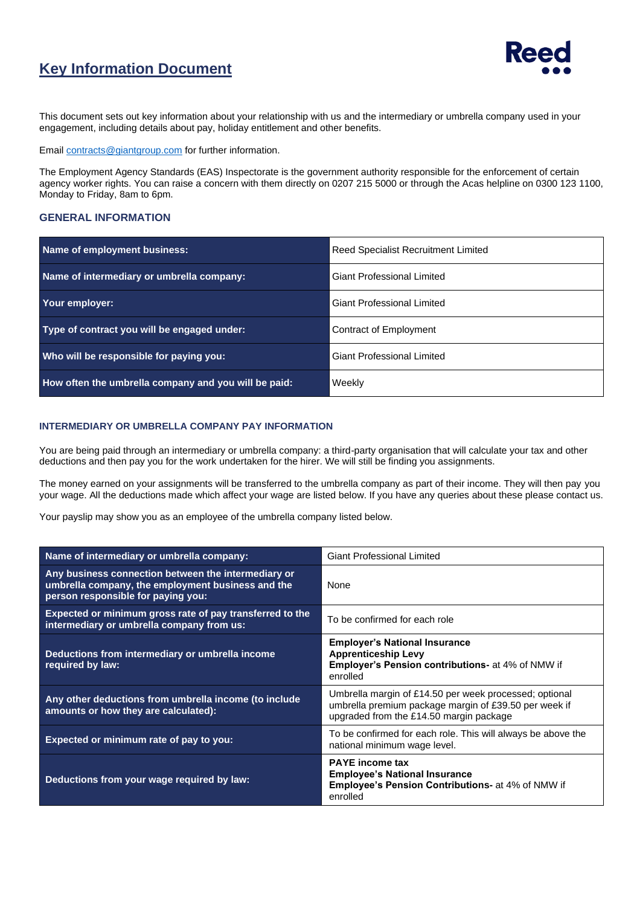## **Key Information Document**



This document sets out key information about your relationship with us and the intermediary or umbrella company used in your engagement, including details about pay, holiday entitlement and other benefits.

Email [contracts@giantgroup.com](mailto:contracts@giantgroup.com) for further information.

The Employment Agency Standards (EAS) Inspectorate is the government authority responsible for the enforcement of certain agency worker rights. You can raise a concern with them directly on 0207 215 5000 or through the Acas helpline on 0300 123 1100, Monday to Friday, 8am to 6pm.

#### **GENERAL INFORMATION**

| Name of employment business:                         | <b>Reed Specialist Recruitment Limited</b> |  |
|------------------------------------------------------|--------------------------------------------|--|
| Name of intermediary or umbrella company:            | <b>Giant Professional Limited</b>          |  |
| Your employer:                                       | <b>Giant Professional Limited</b>          |  |
| Type of contract you will be engaged under:          | Contract of Employment                     |  |
| Who will be responsible for paying you:              | <b>Giant Professional Limited</b>          |  |
| How often the umbrella company and you will be paid: | Weekly                                     |  |

#### **INTERMEDIARY OR UMBRELLA COMPANY PAY INFORMATION**

You are being paid through an intermediary or umbrella company: a third-party organisation that will calculate your tax and other deductions and then pay you for the work undertaken for the hirer. We will still be finding you assignments.

The money earned on your assignments will be transferred to the umbrella company as part of their income. They will then pay you your wage. All the deductions made which affect your wage are listed below. If you have any queries about these please contact us.

Your payslip may show you as an employee of the umbrella company listed below.

| Name of intermediary or umbrella company:                                                                                                      | <b>Giant Professional Limited</b>                                                                                                                          |  |
|------------------------------------------------------------------------------------------------------------------------------------------------|------------------------------------------------------------------------------------------------------------------------------------------------------------|--|
| Any business connection between the intermediary or<br>umbrella company, the employment business and the<br>person responsible for paying you: | None                                                                                                                                                       |  |
| Expected or minimum gross rate of pay transferred to the<br>intermediary or umbrella company from us:                                          | To be confirmed for each role                                                                                                                              |  |
| Deductions from intermediary or umbrella income<br>required by law:                                                                            | <b>Employer's National Insurance</b><br><b>Apprenticeship Levy</b><br>Employer's Pension contributions- at 4% of NMW if<br>enrolled                        |  |
| Any other deductions from umbrella income (to include<br>amounts or how they are calculated):                                                  | Umbrella margin of £14.50 per week processed; optional<br>umbrella premium package margin of £39.50 per week if<br>upgraded from the £14.50 margin package |  |
| Expected or minimum rate of pay to you:                                                                                                        | To be confirmed for each role. This will always be above the<br>national minimum wage level.                                                               |  |
| Deductions from your wage required by law:                                                                                                     | <b>PAYE</b> income tax<br><b>Employee's National Insurance</b><br><b>Employee's Pension Contributions- at 4% of NMW if</b><br>enrolled                     |  |